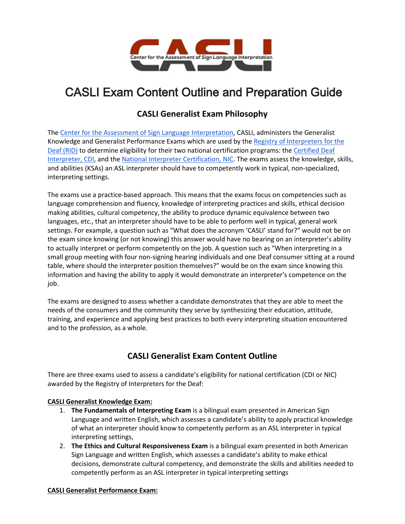

# CASLI Exam Content Outline and Preparation Guide

# **CASLI Generalist Exam Philosophy**

The [Center for the Assessment of Sign Language Interpretation,](https://www.casli.org/) CASLI, administers the Generalist Knowledge and Generalist Performance Exams which are used by th[e Registry of Interpreters for the](http://rid.org/)  [Deaf \(RID\)](http://rid.org/) to determine eligibility for their two national certification programs: the Certified Deaf [Interpreter, CDI,](https://rid.org/rid-certification-overview/available-certification/cdi-certification/) and the [National Interpreter Certification, NIC.](https://rid.org/rid-certification-overview/available-certification/nic-certification/) The exams assess the knowledge, skills, and abilities (KSAs) an ASL interpreter should have to competently work in typical, non-specialized, interpreting settings.

The exams use a practice-based approach. This means that the exams focus on competencies such as language comprehension and fluency, knowledge of interpreting practices and skills, ethical decision making abilities, cultural competency, the ability to produce dynamic equivalence between two languages, etc., that an interpreter should have to be able to perform well in typical, general work settings. For example, a question such as "What does the acronym 'CASLI' stand for?" would not be on the exam since knowing (or not knowing) this answer would have no bearing on an interpreter's ability to actually interpret or perform competently on the job. A question such as "When interpreting in a small group meeting with four non-signing hearing individuals and one Deaf consumer sitting at a round table, where should the interpreter position themselves?" would be on the exam since knowing this information and having the ability to apply it would demonstrate an interpreter's competence on the job.

The exams are designed to assess whether a candidate demonstrates that they are able to meet the needs of the consumers and the community they serve by synthesizing their education, attitude, training, and experience and applying best practices to both every interpreting situation encountered and to the profession, as a whole.

# **CASLI Generalist Exam Content Outline**

There are three exams used to assess a candidate's eligibility for national certification (CDI or NIC) awarded by the Registry of Interpreters for the Deaf:

#### **CASLI Generalist Knowledge Exam:**

- 1. **The Fundamentals of Interpreting Exam** is a bilingual exam presented in American Sign Language and written English, which assesses a candidate's ability to apply practical knowledge of what an interpreter should know to competently perform as an ASL interpreter in typical interpreting settings,
- 2. **The Ethics and Cultural Responsiveness Exam** is a bilingual exam presented in both American Sign Language and written English, which assesses a candidate's ability to make ethical decisions, demonstrate cultural competency, and demonstrate the skills and abilities needed to competently perform as an ASL interpreter in typical interpreting settings

#### **CASLI Generalist Performance Exam:**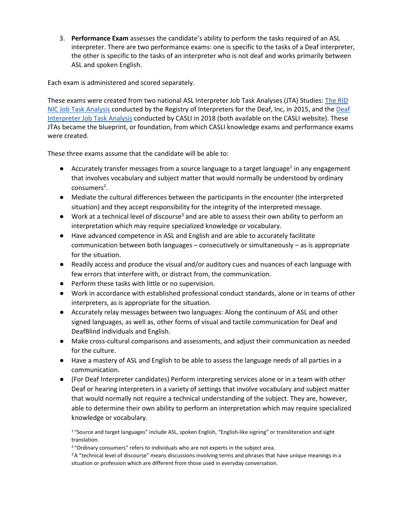3. **Performance Exam** assesses the candidate's ability to perform the tasks required of an ASL interpreter. There are two performance exams: one is specific to the tasks of a Deaf interpreter, the other is specific to the tasks of an interpreter who is not deaf and works primarily between ASL and spoken English.

Each exam is administered and scored separately.

These exams were created from two national ASL Interpreter Job Task Analyses (JTA) Studies[: The RID](https://www.casli.org/wp-content/uploads/2017/07/NIC-JTA-Report.pdf)  [NIC Job Task Analysis](https://www.casli.org/wp-content/uploads/2017/07/NIC-JTA-Report.pdf) conducted by the Registry of Interpreters for the Deaf, Inc, in 2015, and the [Deaf](https://www.casli.org/wp-content/uploads/2019/06/CASLI-Deaf-Interpeter-JTA-Report-Final-1.pdf)  [Interpreter Job Task Analysis](https://www.casli.org/wp-content/uploads/2019/06/CASLI-Deaf-Interpeter-JTA-Report-Final-1.pdf) conducted by CASLI in 2018 (both available on the CASLI website). These JTAs became the blueprint, or foundation, from which CASLI knowledge exams and performance exams were created.

These three exams assume that the candidate will be able to:

- $\bullet$  Accurately transfer messages from a source language to a target language<sup>1</sup> in any engagement that involves vocabulary and subject matter that would normally be understood by ordinary consumers<sup>2</sup>.
- Mediate the cultural differences between the participants in the encounter (the interpreted situation) and they accept responsibility for the integrity of the interpreted message.
- $\bullet$  Work at a technical level of discourse<sup>3</sup> and are able to assess their own ability to perform an interpretation which may require specialized knowledge or vocabulary.
- Have advanced competence in ASL and English and are able to accurately facilitate communication between both languages – consecutively or simultaneously – as is appropriate for the situation.
- Readily access and produce the visual and/or auditory cues and nuances of each language with few errors that interfere with, or distract from, the communication.
- Perform these tasks with little or no supervision.
- Work in accordance with established professional conduct standards, alone or in teams of other interpreters, as is appropriate for the situation.
- Accurately relay messages between two languages: Along the continuum of ASL and other signed languages, as well as, other forms of visual and tactile communication for Deaf and DeafBlind individuals and English.
- Make cross-cultural comparisons and assessments, and adjust their communication as needed for the culture.
- Have a mastery of ASL and English to be able to assess the language needs of all parties in a communication.
- (For Deaf Interpreter candidates) Perform interpreting services alone or in a team with other Deaf or hearing interpreters in a variety of settings that involve vocabulary and subject matter that would normally not require a technical understanding of the subject. They are, however, able to determine their own ability to perform an interpretation which may require specialized knowledge or vocabulary.

<sup>1</sup> "Source and target languages" include ASL, spoken English, "English-like signing" or transliteration and sight translation.

<sup>2</sup> "Ordinary consumers" refers to individuals who are not experts in the subject area.

<sup>3</sup> A "technical level of discourse" means discussions involving terms and phrases that have unique meanings in a situation or profession which are different from those used in everyday conversation.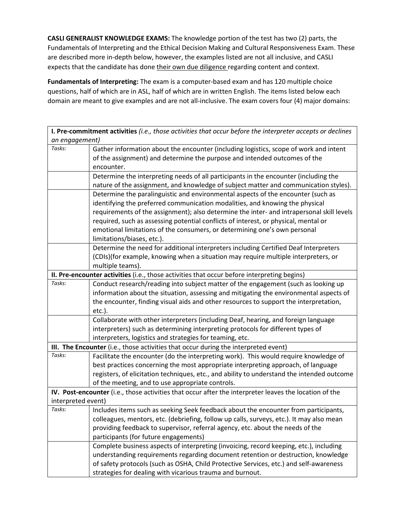**CASLI GENERALIST KNOWLEDGE EXAMS:** The knowledge portion of the test has two (2) parts, the Fundamentals of Interpreting and the Ethical Decision Making and Cultural Responsiveness Exam. These are described more in-depth below, however, the examples listed are not all inclusive, and CASLI expects that the candidate has done their own due diligence regarding content and context.

**Fundamentals of Interpreting:** The exam is a computer-based exam and has 120 multiple choice questions, half of which are in ASL, half of which are in written English. The items listed below each domain are meant to give examples and are not all-inclusive. The exam covers four (4) major domains:

**I. Pre-commitment activities** *(i.e., those activities that occur before the interpreter accepts or declines an engagement)*

| Tasks:                                                                                      | Gather information about the encounter (including logistics, scope of work and intent                  |
|---------------------------------------------------------------------------------------------|--------------------------------------------------------------------------------------------------------|
|                                                                                             | of the assignment) and determine the purpose and intended outcomes of the                              |
|                                                                                             | encounter.                                                                                             |
|                                                                                             | Determine the interpreting needs of all participants in the encounter (including the                   |
|                                                                                             | nature of the assignment, and knowledge of subject matter and communication styles).                   |
|                                                                                             | Determine the paralinguistic and environmental aspects of the encounter (such as                       |
|                                                                                             | identifying the preferred communication modalities, and knowing the physical                           |
|                                                                                             | requirements of the assignment); also determine the inter- and intrapersonal skill levels              |
|                                                                                             | required, such as assessing potential conflicts of interest, or physical, mental or                    |
|                                                                                             | emotional limitations of the consumers, or determining one's own personal                              |
|                                                                                             | limitations/biases, etc.).                                                                             |
|                                                                                             | Determine the need for additional interpreters including Certified Deaf Interpreters                   |
|                                                                                             | (CDIs)(for example, knowing when a situation may require multiple interpreters, or                     |
|                                                                                             | multiple teams).                                                                                       |
| II. Pre-encounter activities (i.e., those activities that occur before interpreting begins) |                                                                                                        |
| Tasks:                                                                                      | Conduct research/reading into subject matter of the engagement (such as looking up                     |
|                                                                                             | information about the situation, assessing and mitigating the environmental aspects of                 |
|                                                                                             | the encounter, finding visual aids and other resources to support the interpretation,                  |
|                                                                                             | etc.).                                                                                                 |
|                                                                                             | Collaborate with other interpreters (including Deaf, hearing, and foreign language                     |
|                                                                                             | interpreters) such as determining interpreting protocols for different types of                        |
|                                                                                             | interpreters, logistics and strategies for teaming, etc.                                               |
| III. The Encounter (i.e., those activities that occur during the interpreted event)         |                                                                                                        |
| Tasks:                                                                                      | Facilitate the encounter (do the interpreting work). This would require knowledge of                   |
|                                                                                             | best practices concerning the most appropriate interpreting approach, of language                      |
|                                                                                             | registers, of elicitation techniques, etc., and ability to understand the intended outcome             |
|                                                                                             | of the meeting, and to use appropriate controls.                                                       |
|                                                                                             | IV. Post-encounter (i.e., those activities that occur after the interpreter leaves the location of the |
| interpreted event)                                                                          |                                                                                                        |
| Tasks:                                                                                      | Includes items such as seeking Seek feedback about the encounter from participants,                    |
|                                                                                             | colleagues, mentors, etc. (debriefing, follow up calls, surveys, etc.). It may also mean               |
|                                                                                             | providing feedback to supervisor, referral agency, etc. about the needs of the                         |
|                                                                                             | participants (for future engagements)                                                                  |
|                                                                                             | Complete business aspects of interpreting (invoicing, record keeping, etc.), including                 |
|                                                                                             | understanding requirements regarding document retention or destruction, knowledge                      |
|                                                                                             | of safety protocols (such as OSHA, Child Protective Services, etc.) and self-awareness                 |
|                                                                                             | strategies for dealing with vicarious trauma and burnout.                                              |
|                                                                                             |                                                                                                        |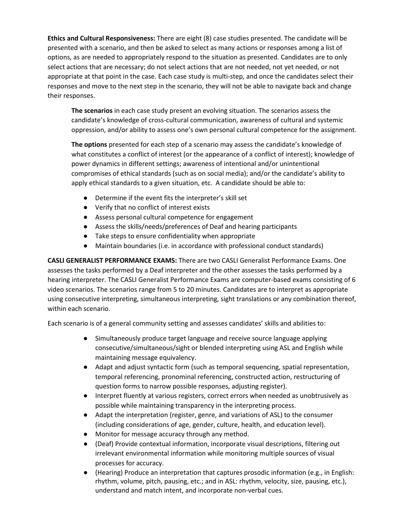**Ethics and Cultural Responsiveness:** There are eight (8) case studies presented. The candidate will be presented with a scenario, and then be asked to select as many actions or responses among a list of options, as are needed to appropriately respond to the situation as presented. Candidates are to only select actions that are necessary; do not select actions that are not needed, not yet needed, or not appropriate at that point in the case. Each case study is multi-step, and once the candidates select their responses and move to the next step in the scenario, they will not be able to navigate back and change their responses.

**The scenarios** in each case study present an evolving situation. The scenarios assess the candidate's knowledge of cross-cultural communication, awareness of cultural and systemic oppression, and/or ability to assess one's own personal cultural competence for the assignment.

**The options** presented for each step of a scenario may assess the candidate's knowledge of what constitutes a conflict of interest (or the appearance of a conflict of interest); knowledge of power dynamics in different settings; awareness of intentional and/or unintentional compromises of ethical standards (such as on social media); and/or the candidate's ability to apply ethical standards to a given situation, etc. A candidate should be able to:

- Determine if the event fits the interpreter's skill set
- Verify that no conflict of interest exists
- Assess personal cultural competence for engagement
- Assess the skills/needs/preferences of Deaf and hearing participants
- Take steps to ensure confidentiality when appropriate
- Maintain boundaries (i.e. in accordance with professional conduct standards)

**CASLI GENERALIST PERFORMANCE EXAMS:** There are two CASLI Generalist Performance Exams. One assesses the tasks performed by a Deaf interpreter and the other assesses the tasks performed by a hearing interpreter. The CASLI Generalist Performance Exams are computer-based exams consisting of 6 video scenarios. The scenarios range from 5 to 20 minutes. Candidates are to interpret as appropriate using consecutive interpreting, simultaneous interpreting, sight translations or any combination thereof, within each scenario.

Each scenario is of a general community setting and assesses candidates' skills and abilities to:

- Simultaneously produce target language and receive source language applying consecutive/simultaneous/sight or blended interpreting using ASL and English while maintaining message equivalency.
- Adapt and adjust syntactic form (such as temporal sequencing, spatial representation, temporal referencing, pronominal referencing, constructed action, restructuring of question forms to narrow possible responses, adjusting register).
- Interpret fluently at various registers, correct errors when needed as unobtrusively as possible while maintaining transparency in the interpreting process.
- Adapt the interpretation (register, genre, and variations of ASL) to the consumer (including considerations of age, gender, culture, health, and education level).
- Monitor for message accuracy through any method.
- (Deaf) Provide contextual information, incorporate visual descriptions, filtering out irrelevant environmental information while monitoring multiple sources of visual processes for accuracy.
- (Hearing) Produce an interpretation that captures prosodic information (e.g., in English: rhythm, volume, pitch, pausing, etc.; and in ASL: rhythm, velocity, size, pausing, etc.), understand and match intent, and incorporate non-verbal cues.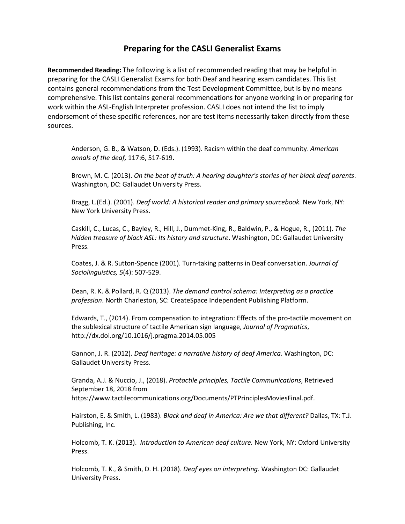## **Preparing for the CASLI Generalist Exams**

**Recommended Reading:** The following is a list of recommended reading that may be helpful in preparing for the CASLI Generalist Exams for both Deaf and hearing exam candidates. This list contains general recommendations from the Test Development Committee, but is by no means comprehensive. This list contains general recommendations for anyone working in or preparing for work within the ASL-English Interpreter profession. CASLI does not intend the list to imply endorsement of these specific references, nor are test items necessarily taken directly from these sources.

Anderson, G. B., & Watson, D. (Eds.). (1993). Racism within the deaf community. *American annals of the deaf,* 117:6, 517-619.

Brown, M. C. (2013). *On the beat of truth: A hearing daughter's stories of her black deaf parents*. Washington, DC: Gallaudet University Press.

Bragg, L.(Ed.). (2001). *Deaf world: A historical reader and primary sourcebook.* New York, NY: New York University Press.

Caskill, C., Lucas, C., Bayley, R., Hill, J., Dummet-King, R., Baldwin, P., & Hogue, R., (2011). *The hidden treasure of black ASL: Its history and structure*. Washington, DC: Gallaudet University Press.

Coates, J. & R. Sutton-Spence (2001). Turn-taking patterns in Deaf conversation. *Journal of Sociolinguistics, 5*(4): 507-529.

Dean, R. K. & Pollard, R. Q (2013). *The demand control schema: Interpreting as a practice profession*. North Charleston, SC: CreateSpace Independent Publishing Platform.

Edwards, T., (2014). From compensation to integration: Effects of the pro-tactile movement on the sublexical structure of tactile American sign language, *Journal of Pragmatics*[,](http://dx.doi.org/10.1016/j.pragma.2014.05.005) <http://dx.doi.org/10.1016/j.pragma.2014.05.005>

Gannon, J. R. (2012). *Deaf heritage: a narrative history of deaf America.* Washington, DC: Gallaudet University Press.

Granda, A.J. & Nuccio, J., (2018). *Protactile principles, Tactile Communications*, Retrieved September 18, 2018 fro[m](https://www.tactilecommunications.org/Documents/PTPrinciplesMoviesFinal.pdf) [https://www.tactilecommunications.org/Documents/PTPrinciplesMoviesFinal.pdf.](https://www.tactilecommunications.org/Documents/PTPrinciplesMoviesFinal.pdf)

Hairston, E. & Smith, L. (1983). *Black and deaf in America: Are we that different?* Dallas, TX: T.J. Publishing, Inc.

Holcomb, T. K. (2013). *Introduction to American deaf culture.* New York, NY: Oxford University Press.

Holcomb, T. K., & Smith, D. H. (2018). *Deaf eyes on interpreting.* Washington DC: Gallaudet University Press.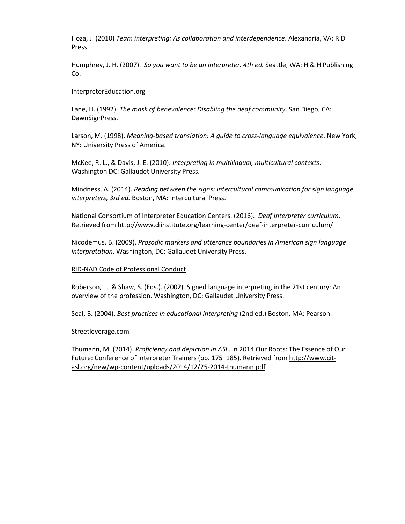Hoza, J. (2010) *Team interpreting: As collaboration and interdependence*. Alexandria, VA: RID Press

Humphrey, J. H. (2007). *So you want to be an interpreter. 4th ed.* Seattle, WA: H & H Publishing Co.

#### [InterpreterEducation.org](http://www.interpretereducation.org/)

Lane, H. (1992). *The mask of benevolence: Disabling the deaf community*. San Diego, CA: DawnSignPress.

Larson, M. (1998). *Meaning-based translation: A guide to cross-language equivalence*. New York, NY: University Press of America.

McKee, R. L., & Davis, J. E. (2010). *Interpreting in multilingual, multicultural contexts*. Washington DC: Gallaudet University Press.

Mindness, A. (2014). *Reading between the signs: Intercultural communication for sign language interpreters, 3rd ed.* Boston, MA: Intercultural Press.

National Consortium of Interpreter Education Centers. (2016). *Deaf interpreter curriculum.*  Retrieved fro[m](http://www.diinstitute.org/learning-center/deaf-interpreter-curriculum/) <http://www.diinstitute.org/learning-center/deaf-interpreter-curriculum/>

Nicodemus, B. (2009). *Prosodic markers and utterance boundaries in American sign language interpretation*. Washington, DC: Gallaudet University Press.

#### [RID-NAD Code of Professional Conduct](https://rid.org/ethics/code-of-professional-conduct/)

Roberson, L., & Shaw, S. (Eds.). (2002). Signed language interpreting in the 21st century: An overview of the profession. Washington, DC: Gallaudet University Press.

Seal, B. (2004). *Best practices in educational interpreting* (2nd ed.) Boston, MA: Pearson.

#### [Streetleverage.com](http://streetleverage.com/)

Thumann, M. (2014). *Proficiency and depiction in ASL*. In 2014 Our Roots: The Essence of Our Future: Conference of Interpreter Trainers (pp. 175–185). Retrieved from [http://www.cit](http://www.cit-asl.org/new/wp-content/uploads/2014/12/25-2014-thumann.pdf)[asl.org/new/wp-content/uploads/2014/12/25-2014-thumann.pdf](http://www.cit-asl.org/new/wp-content/uploads/2014/12/25-2014-thumann.pdf)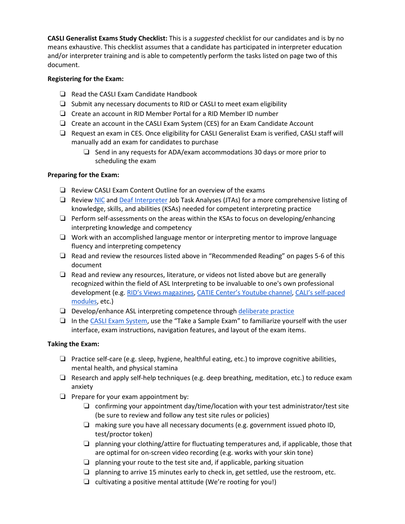**CASLI Generalist Exams Study Checklist:** This is a *suggested* checklist for our candidates and is by no means exhaustive. This checklist assumes that a candidate has participated in interpreter education and/or interpreter training and is able to competently perform the tasks listed on page two of this document.

### **Registering for the Exam:**

- ❏ Read the CASLI Exam Candidate Handbook
- ❏ Submit any necessary documents to RID or CASLI to meet exam eligibility
- ❏ Create an account in RID Member Portal for a RID Member ID number
- ❏ Create an account in the CASLI Exam System (CES) for an Exam Candidate Account
- ❏ Request an exam in CES. Once eligibility for CASLI Generalist Exam is verified, CASLI staff will manually add an exam for candidates to purchase
	- ❏ Send in any requests for ADA/exam accommodations 30 days or more prior to scheduling the exam

## **Preparing for the Exam:**

- ❏ Review CASLI Exam Content Outline for an overview of the exams
- ❏ Review [NIC](https://www.casli.org/wp-content/uploads/2017/07/NIC-JTA-Report.pdf) and [Deaf Interpreter](https://www.casli.org/wp-content/uploads/2019/06/CASLI-Deaf-Interpeter-JTA-Report-Final-1.pdf) Job Task Analyses (JTAs) for a more comprehensive listing of knowledge, skills, and abilities (KSAs) needed for competent interpreting practice
- ❏ Perform self-assessments on the areas within the KSAs to focus on developing/enhancing interpreting knowledge and competency
- ❏ Work with an accomplished language mentor or interpreting mentor to improve language fluency and interpreting competency
- ❏ Read and review the resources listed above in "Recommended Reading" on pages 5-6 of this document
- ❏ Read and review any resources, literature, or videos not listed above but are generally recognized within the field of ASL Interpreting to be invaluable to one's own professional development (e.g. [RID's Views magazines,](https://rid.org/membership/benefits/publications-overview/views/) [CATIE Center's Youtube channel,](https://www.youtube.com/channel/UCyYXryEMb06pMHnEE0IOEgw/featured) [CALI's self-paced](https://www.northeastern.edu/cali/)  [modules,](https://www.northeastern.edu/cali/) etc.)
- ❏ Develop/enhance ASL interpreting competence throug[h deliberate practice](http://www.interpretereducation.org/wp-content/uploads/2016/01/Deliberate-Practice-Article.pdf)
- ❏ In th[e CASLI Exam System,](http://casli.app/) use the "Take a Sample Exam" to familiarize yourself with the user interface, exam instructions, navigation features, and layout of the exam items.

## **Taking the Exam:**

- ❏ Practice self-care (e.g. sleep, hygiene, healthful eating, etc.) to improve cognitive abilities, mental health, and physical stamina
- ❏ Research and apply self-help techniques (e.g. deep breathing, meditation, etc.) to reduce exam anxiety
- ❏ Prepare for your exam appointment by:
	- $\Box$  confirming your appointment day/time/location with your test administrator/test site (be sure to review and follow any test site rules or policies)
	- ❏ making sure you have all necessary documents (e.g. government issued photo ID, test/proctor token)
	- ❏ planning your clothing/attire for fluctuating temperatures and, if applicable, those that are optimal for on-screen video recording (e.g. works with your skin tone)
	- $\Box$  planning your route to the test site and, if applicable, parking situation
	- $\Box$  planning to arrive 15 minutes early to check in, get settled, use the restroom, etc.
	- ❏ cultivating a positive mental attitude (We're rooting for you!)